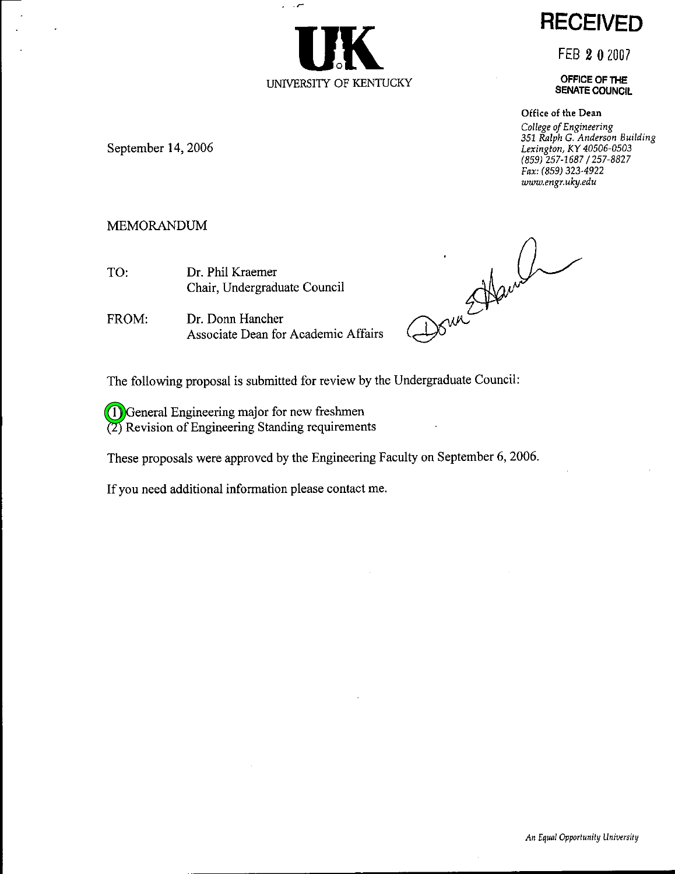

FEB 2 0 2007

OFFICE OF THE **SENATE COUNCIL** 

Office of the Dean

College of Engineering 351 Ralph G. Anderson Building Lexington, KY 40506-0503 (859) 257-1687 / 257-8827 Fax: (859) 323-4922 www.engr.uky.edu

September 14, 2006

### **MEMORANDUM**

TO: Dr. Phil Kraemer Chair, Undergraduate Council

FROM: Dr. Donn Hancher Associate Dean for Academic Affairs

 $\tilde{\phantom{a}}$ 

UNIVERSITY OF KENTUCKY

Dona Alamber

The following proposal is submitted for review by the Undergraduate Council:

(1) General Engineering major for new freshmen (2) Revision of Engineering Standing requirements

These proposals were approved by the Engineering Faculty on September 6, 2006.

If you need additional information please contact me.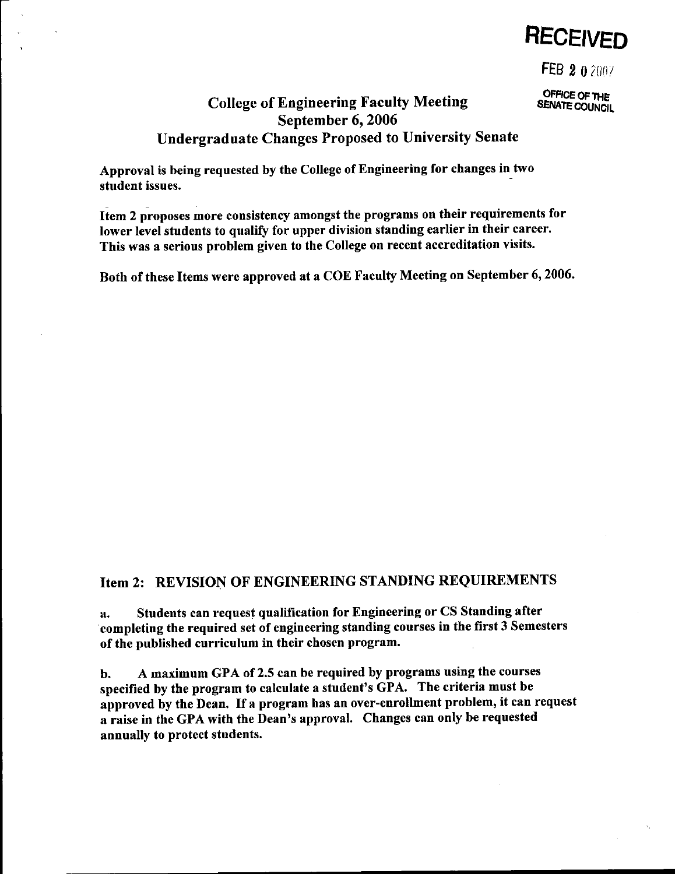# **RECEIVED**

FEB 2 0 2007

OFFICE OF THE

**SENATE COUNCIL** 

## **College of Engineering Faculty Meeting** September 6, 2006 **Undergraduate Changes Proposed to University Senate**

Approval is being requested by the College of Engineering for changes in two student issues.

Item 2 proposes more consistency amongst the programs on their requirements for lower level students to qualify for upper division standing earlier in their career. This was a serious problem given to the College on recent accreditation visits.

Both of these Items were approved at a COE Faculty Meeting on September 6, 2006.

### Item 2: REVISION OF ENGINEERING STANDING REQUIREMENTS

Students can request qualification for Engineering or CS Standing after a. completing the required set of engineering standing courses in the first 3 Semesters of the published curriculum in their chosen program.

A maximum GPA of 2.5 can be required by programs using the courses b. specified by the program to calculate a student's GPA. The criteria must be approved by the Dean. If a program has an over-enrollment problem, it can request a raise in the GPA with the Dean's approval. Changes can only be requested annually to protect students.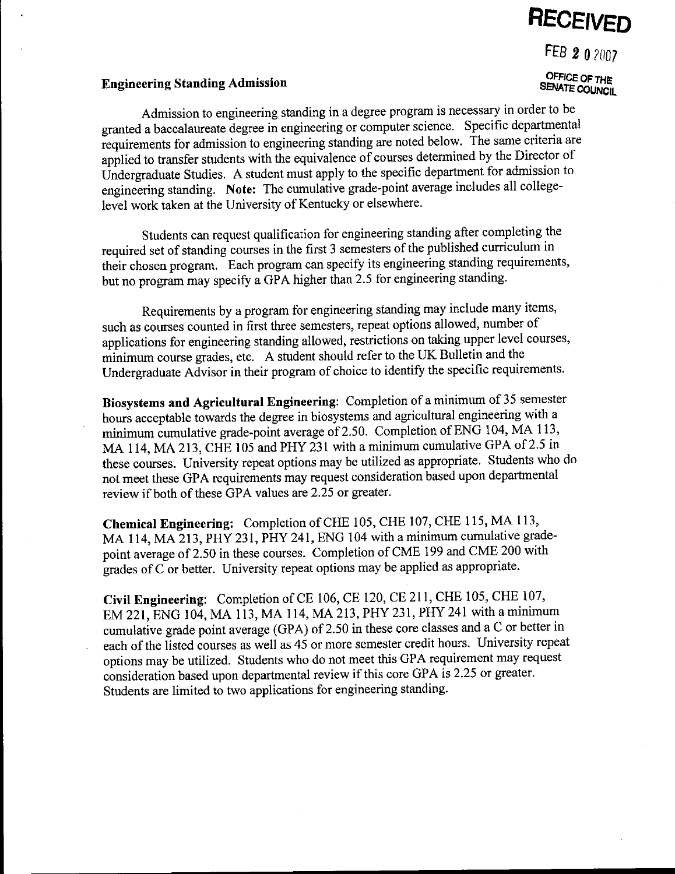# **RECEIVED**

FEB 2 0 2007

### OFFICE OF THE **SENATE COUNCIL**

### **Engineering Standing Admission**

Admission to engineering standing in a degree program is necessary in order to be granted a baccalaureate degree in engineering or computer science. Specific departmental requirements for admission to engineering standing are noted below. The same criteria are applied to transfer students with the equivalence of courses determined by the Director of Undergraduate Studies. A student must apply to the specific department for admission to engineering standing. Note: The cumulative grade-point average includes all collegelevel work taken at the University of Kentucky or elsewhere.

Students can request qualification for engineering standing after completing the required set of standing courses in the first 3 semesters of the published curriculum in their chosen program. Each program can specify its engineering standing requirements, but no program may specify a GPA higher than 2.5 for engineering standing.

Requirements by a program for engineering standing may include many items, such as courses counted in first three semesters, repeat options allowed, number of applications for engineering standing allowed, restrictions on taking upper level courses, minimum course grades, etc. A student should refer to the UK Bulletin and the Undergraduate Advisor in their program of choice to identify the specific requirements.

Biosystems and Agricultural Engineering: Completion of a minimum of 35 semester hours acceptable towards the degree in biosystems and agricultural engineering with a minimum cumulative grade-point average of 2.50. Completion of ENG 104, MA 113, MA 114, MA 213, CHE 105 and PHY 231 with a minimum cumulative GPA of 2.5 in these courses. University repeat options may be utilized as appropriate. Students who do not meet these GPA requirements may request consideration based upon departmental review if both of these GPA values are 2.25 or greater.

Chemical Engineering: Completion of CHE 105, CHE 107, CHE 115, MA 113, MA 114, MA 213, PHY 231, PHY 241, ENG 104 with a minimum cumulative gradepoint average of 2.50 in these courses. Completion of CME 199 and CME 200 with grades of C or better. University repeat options may be applied as appropriate.

Civil Engineering: Completion of CE 106, CE 120, CE 211, CHE 105, CHE 107, EM 221, ENG 104, MA 113, MA 114, MA 213, PHY 231, PHY 241 with a minimum cumulative grade point average (GPA) of 2.50 in these core classes and a C or better in each of the listed courses as well as 45 or more semester credit hours. University repeat options may be utilized. Students who do not meet this GPA requirement may request consideration based upon departmental review if this core GPA is 2.25 or greater. Students are limited to two applications for engineering standing.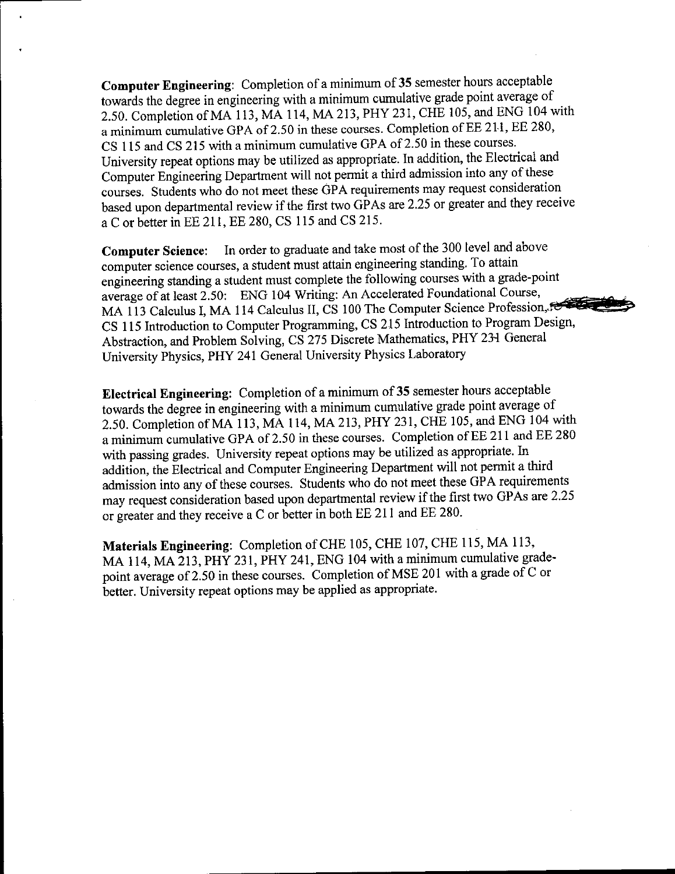Computer Engineering: Completion of a minimum of 35 semester hours acceptable towards the degree in engineering with a minimum cumulative grade point average of 2.50. Completion of MA 113, MA 114, MA 213, PHY 231, CHE 105, and ENG 104 with a minimum cumulative GPA of 2.50 in these courses. Completion of EE 211, EE 280, CS 115 and CS 215 with a minimum cumulative GPA of 2.50 in these courses. University repeat options may be utilized as appropriate. In addition, the Electrical and Computer Engineering Department will not permit a third admission into any of these courses. Students who do not meet these GPA requirements may request consideration based upon departmental review if the first two GPAs are 2.25 or greater and they receive a C or better in EE 211, EE 280, CS 115 and CS 215.

In order to graduate and take most of the 300 level and above **Computer Science:** computer science courses, a student must attain engineering standing. To attain engineering standing a student must complete the following courses with a grade-point average of at least 2.50: ENG 104 Writing: An Accelerated Foundational Course, MA 113 Calculus I, MA 114 Calculus II, CS 100 The Computer Science Profession, CS 115 Introduction to Computer Programming, CS 215 Introduction to Program Design, Abstraction, and Problem Solving, CS 275 Discrete Mathematics, PHY 231 General University Physics, PHY 241 General University Physics Laboratory

Electrical Engineering: Completion of a minimum of 35 semester hours acceptable towards the degree in engineering with a minimum cumulative grade point average of 2.50. Completion of MA 113, MA 114, MA 213, PHY 231, CHE 105, and ENG 104 with a minimum cumulative GPA of 2.50 in these courses. Completion of EE 211 and EE 280 with passing grades. University repeat options may be utilized as appropriate. In addition, the Electrical and Computer Engineering Department will not permit a third admission into any of these courses. Students who do not meet these GPA requirements may request consideration based upon departmental review if the first two GPAs are 2.25 or greater and they receive a C or better in both EE 211 and EE 280.

Materials Engineering: Completion of CHE 105, CHE 107, CHE 115, MA 113, MA 114, MA 213, PHY 231, PHY 241, ENG 104 with a minimum cumulative gradepoint average of 2.50 in these courses. Completion of MSE 201 with a grade of C or better. University repeat options may be applied as appropriate.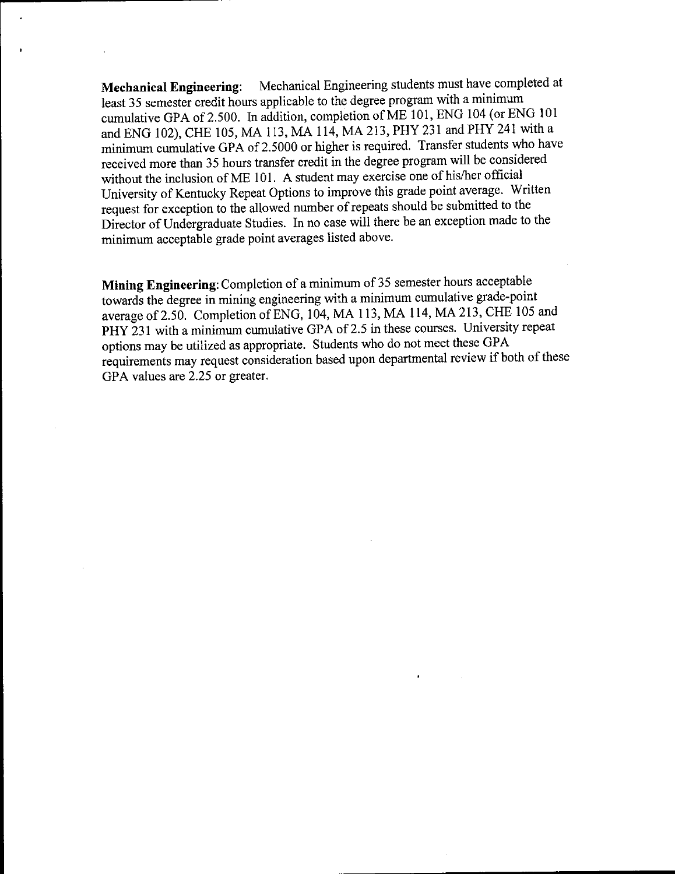Mechanical Engineering students must have completed at **Mechanical Engineering:** least 35 semester credit hours applicable to the degree program with a minimum cumulative GPA of 2.500. In addition, completion of ME 101, ENG 104 (or ENG 101 and ENG 102), CHE 105, MA 113, MA 114, MA 213, PHY 231 and PHY 241 with a minimum cumulative GPA of 2.5000 or higher is required. Transfer students who have received more than 35 hours transfer credit in the degree program will be considered without the inclusion of ME 101. A student may exercise one of his/her official University of Kentucky Repeat Options to improve this grade point average. Written request for exception to the allowed number of repeats should be submitted to the Director of Undergraduate Studies. In no case will there be an exception made to the minimum acceptable grade point averages listed above.

Mining Engineering: Completion of a minimum of 35 semester hours acceptable towards the degree in mining engineering with a minimum cumulative grade-point average of 2.50. Completion of ENG, 104, MA 113, MA 114, MA 213, CHE 105 and PHY 231 with a minimum cumulative GPA of 2.5 in these courses. University repeat options may be utilized as appropriate. Students who do not meet these GPA requirements may request consideration based upon departmental review if both of these GPA values are 2.25 or greater.